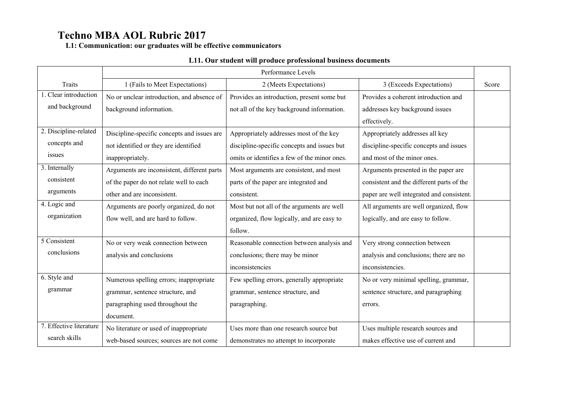**L1: Communication: our graduates will be effective communicators**

## **L11. Our student will produce professional business documents**

|                         | Performance Levels                          |                                              |                                           |       |  |  |  |
|-------------------------|---------------------------------------------|----------------------------------------------|-------------------------------------------|-------|--|--|--|
| Traits                  | 1 (Fails to Meet Expectations)              | 2 (Meets Expectations)                       | 3 (Exceeds Expectations)                  | Score |  |  |  |
| 1. Clear introduction   | No or unclear introduction, and absence of  | Provides an introduction, present some but   | Provides a coherent introduction and      |       |  |  |  |
| and background          | background information.                     | not all of the key background information.   | addresses key background issues           |       |  |  |  |
|                         |                                             |                                              | effectively.                              |       |  |  |  |
| 2. Discipline-related   | Discipline-specific concepts and issues are | Appropriately addresses most of the key      | Appropriately addresses all key           |       |  |  |  |
| concepts and            | not identified or they are identified       | discipline-specific concepts and issues but  | discipline-specific concepts and issues   |       |  |  |  |
| issues                  | inappropriately.                            | omits or identifies a few of the minor ones. | and most of the minor ones.               |       |  |  |  |
| 3. Internally           | Arguments are inconsistent, different parts | Most arguments are consistent, and most      | Arguments presented in the paper are      |       |  |  |  |
| consistent              | of the paper do not relate well to each     | parts of the paper are integrated and        | consistent and the different parts of the |       |  |  |  |
| arguments               | other and are inconsistent.                 | consistent.                                  | paper are well integrated and consistent. |       |  |  |  |
| 4. Logic and            | Arguments are poorly organized, do not      | Most but not all of the arguments are well   | All arguments are well organized, flow    |       |  |  |  |
| organization            | flow well, and are hard to follow.          | organized, flow logically, and are easy to   | logically, and are easy to follow.        |       |  |  |  |
|                         |                                             | follow.                                      |                                           |       |  |  |  |
| 5 Consistent            | No or very weak connection between          | Reasonable connection between analysis and   | Very strong connection between            |       |  |  |  |
| conclusions             | analysis and conclusions                    | conclusions; there may be minor              | analysis and conclusions; there are no    |       |  |  |  |
|                         |                                             | inconsistencies                              | inconsistencies.                          |       |  |  |  |
| 6. Style and            | Numerous spelling errors; inappropriate     | Few spelling errors, generally appropriate   | No or very minimal spelling, grammar,     |       |  |  |  |
| grammar                 | grammar, sentence structure, and            | grammar, sentence structure, and             | sentence structure, and paragraphing      |       |  |  |  |
|                         | paragraphing used throughout the            | paragraphing.                                | errors.                                   |       |  |  |  |
|                         | document.                                   |                                              |                                           |       |  |  |  |
| 7. Effective literature | No literature or used of inappropriate      | Uses more than one research source but       | Uses multiple research sources and        |       |  |  |  |
| search skills           | web-based sources; sources are not come     | demonstrates no attempt to incorporate       | makes effective use of current and        |       |  |  |  |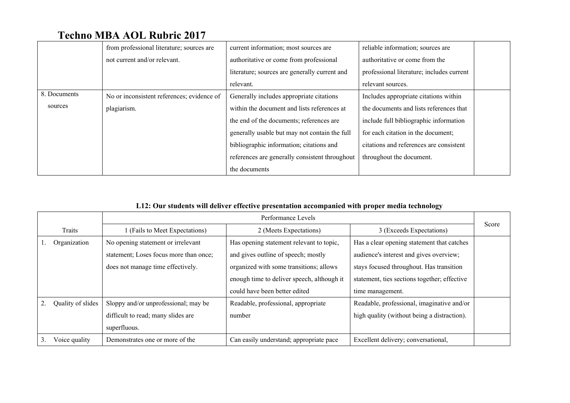|              | from professional literature; sources are  | current information; most sources are          | reliable information; sources are         |
|--------------|--------------------------------------------|------------------------------------------------|-------------------------------------------|
|              | not current and/or relevant.               | authoritative or come from professional        | authoritative or come from the            |
|              |                                            | literature; sources are generally current and  | professional literature; includes current |
|              |                                            | relevant.                                      | relevant sources.                         |
| 8. Documents | No or inconsistent references; evidence of | Generally includes appropriate citations       | Includes appropriate citations within     |
| sources      | plagiarism.                                | within the document and lists references at    | the documents and lists references that   |
|              |                                            | the end of the documents; references are       | include full bibliographic information    |
|              |                                            | generally usable but may not contain the full  | for each citation in the document;        |
|              |                                            | bibliographic information; citations and       | citations and references are consistent   |
|              |                                            | references are generally consistent throughout | throughout the document.                  |
|              |                                            | the documents                                  |                                           |

## **L12: Our students will deliver effective presentation accompanied with proper media technology**

|                   | Performance Levels                     |                                                                                            |                                             |       |  |
|-------------------|----------------------------------------|--------------------------------------------------------------------------------------------|---------------------------------------------|-------|--|
| Traits            | 1 (Fails to Meet Expectations)         | 2 (Meets Expectations)                                                                     | 3 (Exceeds Expectations)                    | Score |  |
| Organization      | No opening statement or irrelevant     | Has opening statement relevant to topic,                                                   | Has a clear opening statement that catches  |       |  |
|                   | statement; Loses focus more than once; | and gives outline of speech; mostly                                                        | audience's interest and gives overview;     |       |  |
|                   | does not manage time effectively.      | organized with some transitions; allows                                                    | stays focused throughout. Has transition    |       |  |
|                   |                                        | enough time to deliver speech, although it<br>statement, ties sections together; effective |                                             |       |  |
|                   |                                        | could have been better edited                                                              | time management.                            |       |  |
| Quality of slides | Sloppy and/or unprofessional; may be   | Readable, professional, appropriate                                                        | Readable, professional, imaginative and/or  |       |  |
|                   | difficult to read; many slides are     | number                                                                                     | high quality (without being a distraction). |       |  |
|                   | superfluous.                           |                                                                                            |                                             |       |  |
| Voice quality     | Demonstrates one or more of the        | Can easily understand; appropriate pace                                                    | Excellent delivery; conversational,         |       |  |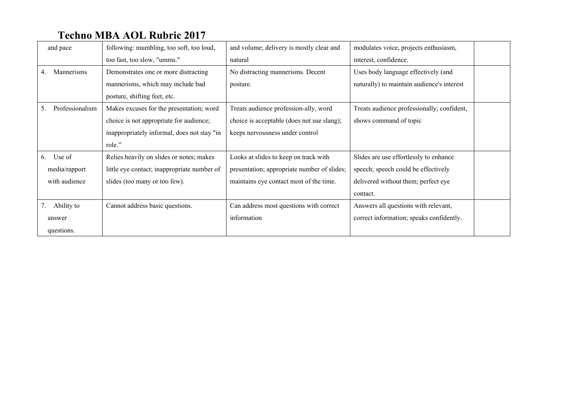| and pace              | following: mumbling, too soft, too loud,    | and volume; delivery is mostly clear and    | modulates voice, projects enthusiasm,      |
|-----------------------|---------------------------------------------|---------------------------------------------|--------------------------------------------|
|                       | too fast, too slow, "umms."                 | natural                                     | interest, confidence.                      |
| Mannerisms<br>4.      | Demonstrates one or more distracting        | No distracting mannerisms. Decent           | Uses body language effectively (and        |
|                       | mannerisms, which may include bad           | posture.                                    | naturally) to maintain audience's interest |
|                       | posture, shifting feet, etc.                |                                             |                                            |
| Professionalism<br>5. | Makes excuses for the presentation; word    | Treats audience profession-ally, word       | Treats audience professionally; confident, |
|                       | choice is not appropriate for audience;     | choice is acceptable (does not use slang);  | shows command of topic                     |
|                       | inappropriately informal, does not stay "in | keeps nervousness under control             |                                            |
|                       | role."                                      |                                             |                                            |
| Use of<br>6.          | Relies heavily on slides or notes; makes    | Looks at slides to keep on track with       | Slides are use effortlessly to enhance     |
| media/rapport         | little eye contact; inappropriate number of | presentation; appropriate number of slides; | speech; speech could be effectively        |
| with audience         | slides (too many or too few).               | maintains eye contact most of the time.     | delivered without them; perfect eye        |
|                       |                                             |                                             | contact.                                   |
| Ability to<br>7.      | Cannot address basic questions.             | Can address most questions with correct     | Answers all questions with relevant,       |
| answer                |                                             | information                                 | correct information; speaks confidently.   |
| questions.            |                                             |                                             |                                            |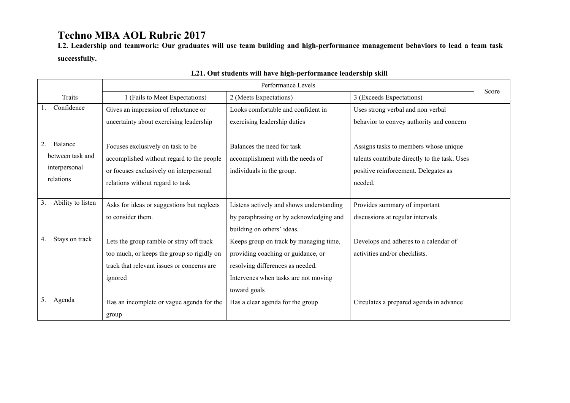**L2. Leadership and teamwork: Our graduates will use team building and high-performance management behaviors to lead a team task successfully.**

|                         |                                            | Performance Levels                       |                                               | Score |
|-------------------------|--------------------------------------------|------------------------------------------|-----------------------------------------------|-------|
| Traits                  | 1 (Fails to Meet Expectations)             | 2 (Meets Expectations)                   | 3 (Exceeds Expectations)                      |       |
| Confidence              | Gives an impression of reluctance or       | Looks comfortable and confident in       | Uses strong verbal and non verbal             |       |
|                         | uncertainty about exercising leadership    | exercising leadership duties             | behavior to convey authority and concern      |       |
|                         |                                            |                                          |                                               |       |
| 2.<br>Balance           | Focuses exclusively on task to be          | Balances the need for task               | Assigns tasks to members whose unique         |       |
| between task and        | accomplished without regard to the people  | accomplishment with the needs of         | talents contribute directly to the task. Uses |       |
| interpersonal           | or focuses exclusively on interpersonal    | individuals in the group.                | positive reinforcement. Delegates as          |       |
| relations               | relations without regard to task           |                                          | needed.                                       |       |
|                         |                                            |                                          |                                               |       |
| Ability to listen<br>3. | Asks for ideas or suggestions but neglects | Listens actively and shows understanding | Provides summary of important                 |       |
|                         | to consider them.                          | by paraphrasing or by acknowledging and  | discussions at regular intervals              |       |
|                         |                                            | building on others' ideas.               |                                               |       |
| Stays on track<br>4.    | Lets the group ramble or stray off track   | Keeps group on track by managing time,   | Develops and adheres to a calendar of         |       |
|                         | too much, or keeps the group so rigidly on | providing coaching or guidance, or       | activities and/or checklists.                 |       |
|                         | track that relevant issues or concerns are | resolving differences as needed.         |                                               |       |
|                         | ignored                                    | Intervenes when tasks are not moving     |                                               |       |
|                         |                                            | toward goals                             |                                               |       |
| 5.<br>Agenda            | Has an incomplete or vague agenda for the  | Has a clear agenda for the group         | Circulates a prepared agenda in advance       |       |
|                         | group                                      |                                          |                                               |       |

## **L21. Out students will have high-performance leadership skill**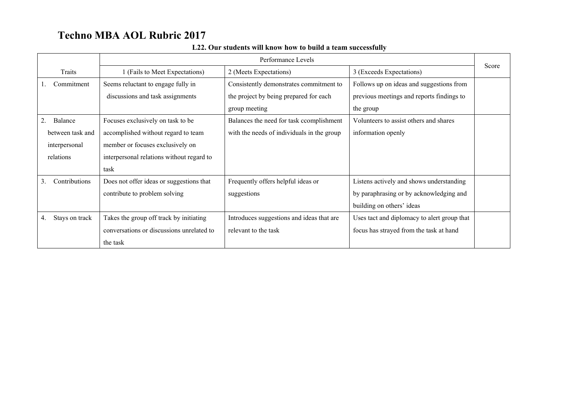|                      | Performance Levels                        |                                            |                                             |       |  |  |
|----------------------|-------------------------------------------|--------------------------------------------|---------------------------------------------|-------|--|--|
| Traits               | 1 (Fails to Meet Expectations)            | 2 (Meets Expectations)                     | 3 (Exceeds Expectations)                    | Score |  |  |
| Commitment           | Seems reluctant to engage fully in        | Consistently demonstrates commitment to    | Follows up on ideas and suggestions from    |       |  |  |
|                      | discussions and task assignments          | the project by being prepared for each     | previous meetings and reports findings to   |       |  |  |
|                      |                                           | group meeting                              | the group                                   |       |  |  |
| Balance<br>2.        | Focuses exclusively on task to be         | Balances the need for task complishment    | Volunteers to assist others and shares      |       |  |  |
| between task and     | accomplished without regard to team       | with the needs of individuals in the group | information openly                          |       |  |  |
| interpersonal        | member or focuses exclusively on          |                                            |                                             |       |  |  |
| relations            | interpersonal relations without regard to |                                            |                                             |       |  |  |
|                      | task                                      |                                            |                                             |       |  |  |
| Contributions<br>3.  | Does not offer ideas or suggestions that  | Frequently offers helpful ideas or         | Listens actively and shows understanding    |       |  |  |
|                      | contribute to problem solving             | suggestions                                | by paraphrasing or by acknowledging and     |       |  |  |
|                      |                                           |                                            | building on others' ideas                   |       |  |  |
| Stays on track<br>4. | Takes the group off track by initiating   | Introduces suggestions and ideas that are  | Uses tact and diplomacy to alert group that |       |  |  |
|                      | conversations or discussions unrelated to | relevant to the task                       | focus has strayed from the task at hand     |       |  |  |
|                      | the task                                  |                                            |                                             |       |  |  |

#### **L22. Our students will know how to build a team successfully**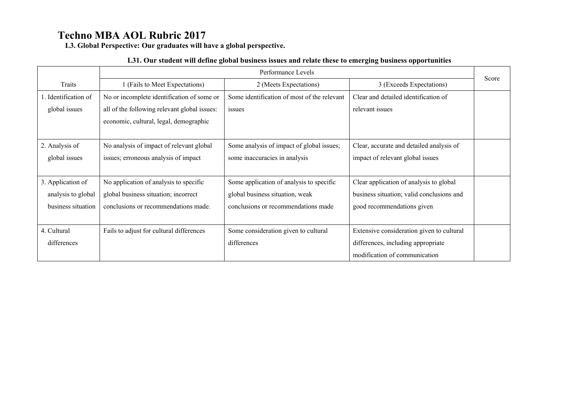**L3. Global Perspective: Our graduates will have a global perspective.**

#### **L31. Our student will define global business issues and relate these to emerging business opportunities**

|                      |                                              | Performance Levels                          |                                           |       |  |  |  |
|----------------------|----------------------------------------------|---------------------------------------------|-------------------------------------------|-------|--|--|--|
| Traits               | 1 (Fails to Meet Expectations)               | 2 (Meets Expectations)                      | 3 (Exceeds Expectations)                  | Score |  |  |  |
| 1. Identification of | No or incomplete identification of some or   | Some identification of most of the relevant | Clear and detailed identification of      |       |  |  |  |
| global issues        | all of the following relevant global issues: | issues                                      | relevant issues                           |       |  |  |  |
|                      | economic, cultural, legal, demographic       |                                             |                                           |       |  |  |  |
|                      |                                              |                                             |                                           |       |  |  |  |
| 2. Analysis of       | No analysis of impact of relevant global     | Some analysis of impact of global issues;   | Clear, accurate and detailed analysis of  |       |  |  |  |
| global issues        | issues; erroneous analysis of impact         | some inaccuracies in analysis               | impact of relevant global issues          |       |  |  |  |
|                      |                                              |                                             |                                           |       |  |  |  |
| 3. Application of    | No application of analysis to specific       | Some application of analysis to specific    | Clear application of analysis to global   |       |  |  |  |
| analysis to global   | global business situation; incorrect         | global business situation, weak             | business situation; valid conclusions and |       |  |  |  |
| business situation   | conclusions or recommendations made.         | conclusions or recommendations made         | good recommendations given                |       |  |  |  |
|                      |                                              |                                             |                                           |       |  |  |  |
| 4. Cultural          | Fails to adjust for cultural differences     | Some consideration given to cultural        | Extensive consideration given to cultural |       |  |  |  |
| differences          |                                              | differences                                 | differences, including appropriate        |       |  |  |  |
|                      |                                              |                                             | modification of communication             |       |  |  |  |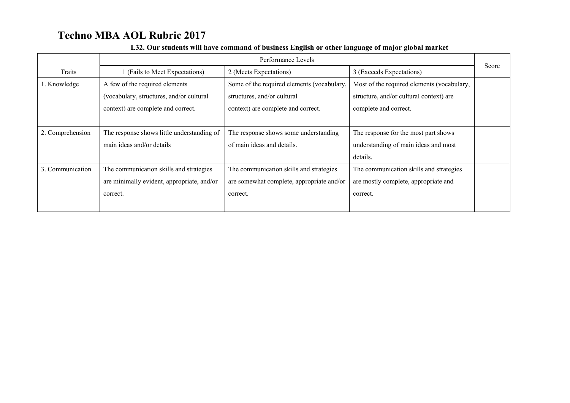|                  |                                            | Performance Levels                         |                                            |       |  |  |
|------------------|--------------------------------------------|--------------------------------------------|--------------------------------------------|-------|--|--|
| Traits           | 1 (Fails to Meet Expectations)             | 2 (Meets Expectations)                     | 3 (Exceeds Expectations)                   | Score |  |  |
| 1. Knowledge     | A few of the required elements             | Some of the required elements (vocabulary, | Most of the required elements (vocabulary, |       |  |  |
|                  | (vocabulary, structures, and/or cultural   | structures, and/or cultural                | structure, and/or cultural context) are    |       |  |  |
|                  | context) are complete and correct.         | context) are complete and correct.         | complete and correct.                      |       |  |  |
|                  |                                            |                                            |                                            |       |  |  |
| 2. Comprehension | The response shows little understanding of | The response shows some understanding      | The response for the most part shows       |       |  |  |
|                  | main ideas and/or details                  | of main ideas and details.                 | understanding of main ideas and most       |       |  |  |
|                  |                                            |                                            | details.                                   |       |  |  |
| 3. Communication | The communication skills and strategies    | The communication skills and strategies    | The communication skills and strategies    |       |  |  |
|                  | are minimally evident, appropriate, and/or | are somewhat complete, appropriate and/or  | are mostly complete, appropriate and       |       |  |  |
|                  | correct.                                   | correct.                                   | correct.                                   |       |  |  |
|                  |                                            |                                            |                                            |       |  |  |

#### **L32. Our students will have command of business English or other language of major global market**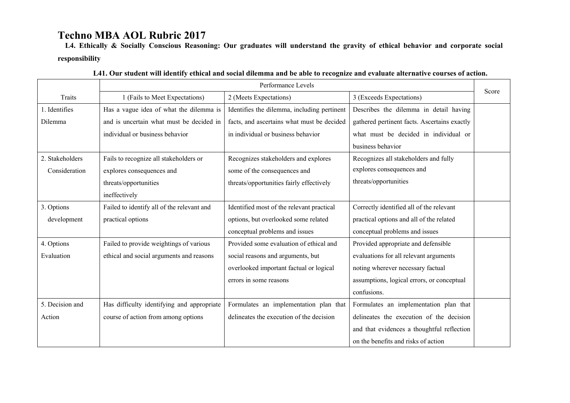**L4. Ethically & Socially Conscious Reasoning: Our graduates will understand the gravity of ethical behavior and corporate social responsibility**

|                 | Performance Levels                         |                                             |                                              |       |  |
|-----------------|--------------------------------------------|---------------------------------------------|----------------------------------------------|-------|--|
| Traits          | 1 (Fails to Meet Expectations)             | 2 (Meets Expectations)                      | 3 (Exceeds Expectations)                     | Score |  |
| 1. Identifies   | Has a vague idea of what the dilemma is    | Identifies the dilemma, including pertinent | Describes the dilemma in detail having       |       |  |
| Dilemma         | and is uncertain what must be decided in   | facts, and ascertains what must be decided  | gathered pertinent facts. Ascertains exactly |       |  |
|                 | individual or business behavior            | in individual or business behavior          | what must be decided in individual or        |       |  |
|                 |                                            |                                             | business behavior                            |       |  |
| 2. Stakeholders | Fails to recognize all stakeholders or     | Recognizes stakeholders and explores        | Recognizes all stakeholders and fully        |       |  |
| Consideration   | explores consequences and                  | some of the consequences and                | explores consequences and                    |       |  |
|                 | threats/opportunities                      | threats/opportunities fairly effectively    | threats/opportunities                        |       |  |
|                 | ineffectively                              |                                             |                                              |       |  |
| 3. Options      | Failed to identify all of the relevant and | Identified most of the relevant practical   | Correctly identified all of the relevant     |       |  |
| development     | practical options                          | options, but overlooked some related        | practical options and all of the related     |       |  |
|                 |                                            | conceptual problems and issues              | conceptual problems and issues               |       |  |
| 4. Options      | Failed to provide weightings of various    | Provided some evaluation of ethical and     | Provided appropriate and defensible          |       |  |
| Evaluation      | ethical and social arguments and reasons   | social reasons and arguments, but           | evaluations for all relevant arguments       |       |  |
|                 |                                            | overlooked important factual or logical     | noting wherever necessary factual            |       |  |
|                 |                                            | errors in some reasons                      | assumptions, logical errors, or conceptual   |       |  |
|                 |                                            |                                             | confusions.                                  |       |  |
| 5. Decision and | Has difficulty identifying and appropriate | Formulates an implementation plan that      | Formulates an implementation plan that       |       |  |
| Action          | course of action from among options        | delineates the execution of the decision    | delineates the execution of the decision     |       |  |
|                 |                                            |                                             | and that evidences a thoughtful reflection   |       |  |
|                 |                                            |                                             | on the benefits and risks of action          |       |  |

|  |  |  |  | L41. Our student will identify ethical and social dilemma and be able to recognize and evaluate alternative courses of action. |  |  |  |
|--|--|--|--|--------------------------------------------------------------------------------------------------------------------------------|--|--|--|
|  |  |  |  |                                                                                                                                |  |  |  |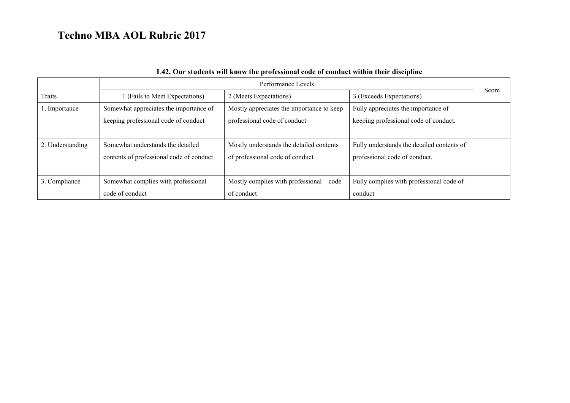|                  | Performance Levels                       |                                           |                                            |       |  |
|------------------|------------------------------------------|-------------------------------------------|--------------------------------------------|-------|--|
| Traits           | 1 (Fails to Meet Expectations)           | 2 (Meets Expectations)                    | 3 (Exceeds Expectations)                   | Score |  |
| 1. Importance    | Somewhat appreciates the importance of   | Mostly appreciates the importance to keep | Fully appreciates the importance of        |       |  |
|                  | keeping professional code of conduct     | professional code of conduct              | keeping professional code of conduct.      |       |  |
|                  |                                          |                                           |                                            |       |  |
| 2. Understanding | Somewhat understands the detailed        | Mostly understands the detailed contents  | Fully understands the detailed contents of |       |  |
|                  | contents of professional code of conduct | of professional code of conduct           | professional code of conduct.              |       |  |
|                  |                                          |                                           |                                            |       |  |
| 3. Compliance    | Somewhat complies with professional      | Mostly complies with professional code    | Fully complies with professional code of   |       |  |
|                  | code of conduct                          | of conduct                                | conduct                                    |       |  |

## **L42. Our students will know the professional code of conduct within their discipline**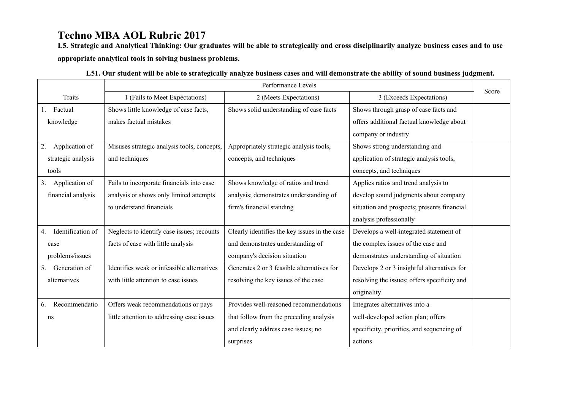**L5. Strategic and Analytical Thinking: Our graduates will be able to strategically and cross disciplinarily analyze business cases and to use appropriate analytical tools in solving business problems.** 

|                         | Performance Levels                          |                                               |                                              |       |  |  |
|-------------------------|---------------------------------------------|-----------------------------------------------|----------------------------------------------|-------|--|--|
| <b>Traits</b>           | 1 (Fails to Meet Expectations)              | 2 (Meets Expectations)                        | 3 (Exceeds Expectations)                     | Score |  |  |
| Factual                 | Shows little knowledge of case facts,       | Shows solid understanding of case facts       | Shows through grasp of case facts and        |       |  |  |
| knowledge               | makes factual mistakes                      |                                               | offers additional factual knowledge about    |       |  |  |
|                         |                                             |                                               | company or industry                          |       |  |  |
| Application of<br>2.    | Misuses strategic analysis tools, concepts, | Appropriately strategic analysis tools,       | Shows strong understanding and               |       |  |  |
| strategic analysis      | and techniques                              | concepts, and techniques                      | application of strategic analysis tools,     |       |  |  |
| tools                   |                                             |                                               | concepts, and techniques                     |       |  |  |
| Application of<br>3.    | Fails to incorporate financials into case   | Shows knowledge of ratios and trend           | Applies ratios and trend analysis to         |       |  |  |
| financial analysis      | analysis or shows only limited attempts     | analysis; demonstrates understanding of       | develop sound judgments about company        |       |  |  |
|                         | to understand financials                    | firm's financial standing                     | situation and prospects; presents financial  |       |  |  |
|                         |                                             |                                               | analysis professionally                      |       |  |  |
| Identification of<br>4. | Neglects to identify case issues; recounts  | Clearly identifies the key issues in the case | Develops a well-integrated statement of      |       |  |  |
| case                    | facts of case with little analysis          | and demonstrates understanding of             | the complex issues of the case and           |       |  |  |
| problems/issues         |                                             | company's decision situation                  | demonstrates understanding of situation      |       |  |  |
| Generation of<br>5.     | Identifies weak or infeasible alternatives  | Generates 2 or 3 feasible alternatives for    | Develops 2 or 3 insightful alternatives for  |       |  |  |
| alternatives            | with little attention to case issues        | resolving the key issues of the case          | resolving the issues; offers specificity and |       |  |  |
|                         |                                             |                                               | originality                                  |       |  |  |
| Recommendatio<br>6.     | Offers weak recommendations or pays         | Provides well-reasoned recommendations        | Integrates alternatives into a               |       |  |  |
| ns                      | little attention to addressing case issues  | that follow from the preceding analysis       | well-developed action plan; offers           |       |  |  |
|                         |                                             | and clearly address case issues; no           | specificity, priorities, and sequencing of   |       |  |  |
|                         |                                             | surprises                                     | actions                                      |       |  |  |

| L51. Our student will be able to strategically analyze business cases and will demonstrate the ability of sound business judgment. |  |  |
|------------------------------------------------------------------------------------------------------------------------------------|--|--|
|                                                                                                                                    |  |  |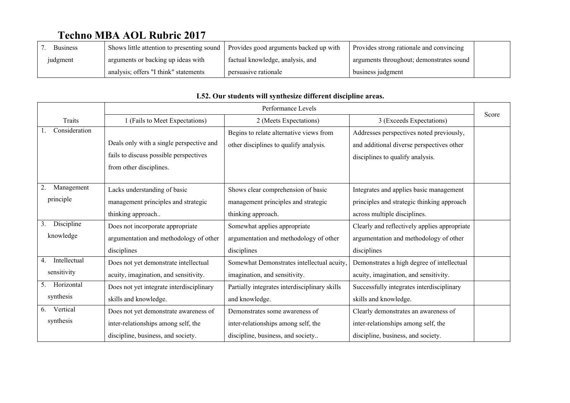| <b>Business</b> | Shows little attention to presenting sound | Provides good arguments backed up with | Provides strong rationale and convincing |  |
|-----------------|--------------------------------------------|----------------------------------------|------------------------------------------|--|
| judgment        | arguments or backing up ideas with         | factual knowledge, analysis, and       | arguments throughout; demonstrates sound |  |
|                 | analysis; offers "I think" statements      | persuasive rationale                   | business judgment                        |  |

|                    | Performance Levels                       |                                               |                                              | Score |
|--------------------|------------------------------------------|-----------------------------------------------|----------------------------------------------|-------|
| <b>Traits</b>      | 1 (Fails to Meet Expectations)           | 2 (Meets Expectations)                        | 3 (Exceeds Expectations)                     |       |
| Consideration      |                                          | Begins to relate alternative views from       | Addresses perspectives noted previously,     |       |
|                    | Deals only with a single perspective and | other disciplines to qualify analysis.        | and additional diverse perspectives other    |       |
|                    | fails to discuss possible perspectives   |                                               | disciplines to qualify analysis.             |       |
|                    | from other disciplines.                  |                                               |                                              |       |
|                    |                                          |                                               |                                              |       |
| 2.<br>Management   | Lacks understanding of basic             | Shows clear comprehension of basic            | Integrates and applies basic management      |       |
| principle          | management principles and strategic      | management principles and strategic           | principles and strategic thinking approach   |       |
|                    | thinking approach                        | thinking approach.                            | across multiple disciplines.                 |       |
| Discipline<br>3.   | Does not incorporate appropriate         | Somewhat applies appropriate                  | Clearly and reflectively applies appropriate |       |
| knowledge          | argumentation and methodology of other   | argumentation and methodology of other        | argumentation and methodology of other       |       |
|                    | disciplines                              | disciplines                                   | disciplines                                  |       |
| Intellectual<br>4. | Does not yet demonstrate intellectual    | Somewhat Demonstrates intellectual acuity,    | Demonstrates a high degree of intellectual   |       |
| sensitivity        | acuity, imagination, and sensitivity.    | imagination, and sensitivity.                 | acuity, imagination, and sensitivity.        |       |
| Horizontal<br>5.   | Does not yet integrate interdisciplinary | Partially integrates interdisciplinary skills | Successfully integrates interdisciplinary    |       |
| synthesis          | skills and knowledge.                    | and knowledge.                                | skills and knowledge.                        |       |
| Vertical<br>6.     | Does not yet demonstrate awareness of    | Demonstrates some awareness of                | Clearly demonstrates an awareness of         |       |
| synthesis          | inter-relationships among self, the      | inter-relationships among self, the           | inter-relationships among self, the          |       |
|                    | discipline, business, and society.       | discipline, business, and society             | discipline, business, and society.           |       |

### **L52. Our students will synthesize different discipline areas.**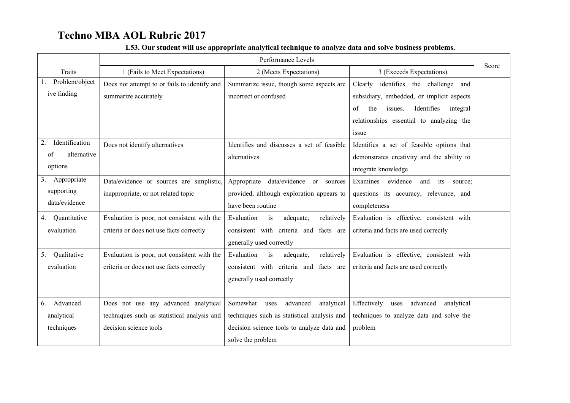|                                                                            | Performance Levels                                                                                            |                                                                                                                                                              |                                                                                                                                                                                                                                                                                           | Score |
|----------------------------------------------------------------------------|---------------------------------------------------------------------------------------------------------------|--------------------------------------------------------------------------------------------------------------------------------------------------------------|-------------------------------------------------------------------------------------------------------------------------------------------------------------------------------------------------------------------------------------------------------------------------------------------|-------|
| <b>Traits</b>                                                              | 1 (Fails to Meet Expectations)                                                                                | 2 (Meets Expectations)                                                                                                                                       | 3 (Exceeds Expectations)                                                                                                                                                                                                                                                                  |       |
| Problem/object<br>ive finding<br>Identification<br>2.<br>of<br>alternative | Does not attempt to or fails to identify and<br>summarize accurately<br>Does not identify alternatives        | Summarize issue, though some aspects are<br>incorrect or confused<br>Identifies and discusses a set of feasible<br>alternatives                              | Clearly<br>identifies the challenge<br>and<br>subsidiary, embedded, or implicit aspects<br>the<br>Identifies<br>integral<br>of<br>issues.<br>relationships essential to analyzing the<br>issue<br>Identifies a set of feasible options that<br>demonstrates creativity and the ability to |       |
| options                                                                    |                                                                                                               |                                                                                                                                                              | integrate knowledge                                                                                                                                                                                                                                                                       |       |
| Appropriate<br>3.<br>supporting<br>data/evidence                           | Data/evidence or sources are simplistic,<br>inappropriate, or not related topic                               | Appropriate<br>data/evidence or sources<br>provided, although exploration appears to<br>have been routine                                                    | Examines<br>evidence<br>and<br>its<br>source:<br>questions its accuracy, relevance, and<br>completeness                                                                                                                                                                                   |       |
| Quantitative<br>4.<br>evaluation                                           | Evaluation is poor, not consistent with the<br>criteria or does not use facts correctly                       | Evaluation<br>relatively<br>is<br>adequate,<br>consistent with criteria and<br>facts are<br>generally used correctly                                         | Evaluation is effective, consistent with<br>criteria and facts are used correctly                                                                                                                                                                                                         |       |
| Qualitative<br>5.<br>evaluation                                            | Evaluation is poor, not consistent with the<br>criteria or does not use facts correctly                       | Evaluation<br>is<br>adequate,<br>relatively<br>consistent with criteria and facts are<br>generally used correctly                                            | Evaluation is effective, consistent with<br>criteria and facts are used correctly                                                                                                                                                                                                         |       |
| Advanced<br>6.<br>analytical<br>techniques                                 | Does not use any advanced analytical<br>techniques such as statistical analysis and<br>decision science tools | Somewhat<br>advanced<br>analytical<br>uses<br>techniques such as statistical analysis and<br>decision science tools to analyze data and<br>solve the problem | Effectively<br>advanced<br>uses<br>analytical<br>techniques to analyze data and solve the<br>problem                                                                                                                                                                                      |       |

## **L53. Our student will use appropriate analytical technique to analyze data and solve business problems.**